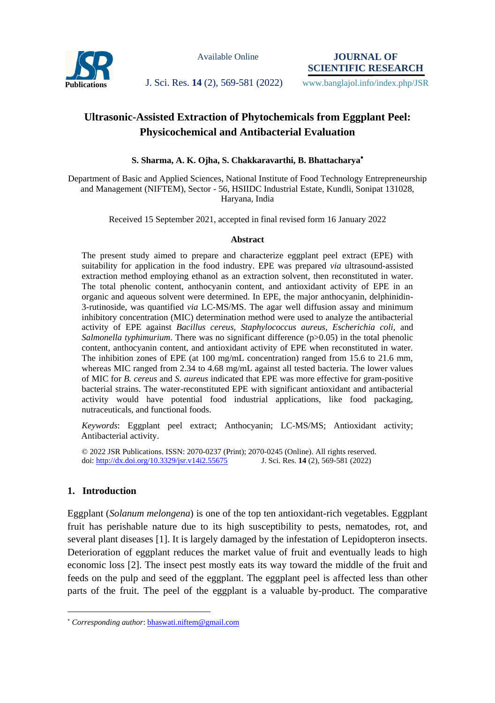

Available Online

**JOURNAL OF SCIENTIFIC RESEARCH**

Publications J. Sci. Res. 14 (2), 569-581 (2022) www.banglajol.info/index.php/JSR

# **Ultrasonic-Assisted Extraction of Phytochemicals from Eggplant Peel: Physicochemical and Antibacterial Evaluation**

### **S. Sharma, A. K. Ojha, S. Chakkaravarthi, B. Bhattacharya**

Department of Basic and Applied Sciences, National Institute of Food Technology Entrepreneurship and Management (NIFTEM), Sector - 56, HSIIDC Industrial Estate, Kundli, Sonipat 131028, Haryana, India

Received 15 September 2021, accepted in final revised form 16 January 2022

#### **Abstract**

The present study aimed to prepare and characterize eggplant peel extract (EPE) with suitability for application in the food industry. EPE was prepared *via* ultrasound-assisted extraction method employing ethanol as an extraction solvent, then reconstituted in water. The total phenolic content, anthocyanin content, and antioxidant activity of EPE in an organic and aqueous solvent were determined. In EPE, the major anthocyanin, delphinidin-3-rutinoside, was quantified *via* LC-MS/MS. The agar well diffusion assay and minimum inhibitory concentration (MIC) determination method were used to analyze the antibacterial activity of EPE against *Bacillus cereus*, *Staphylococcus aureus, Escherichia coli,* and *Salmonella typhimurium*. There was no significant difference ( $p>0.05$ ) in the total phenolic content, anthocyanin content, and antioxidant activity of EPE when reconstituted in water. The inhibition zones of EPE (at 100 mg/mL concentration) ranged from 15.6 to 21.6 mm, whereas MIC ranged from 2.34 to 4.68 mg/mL against all tested bacteria. The lower values of MIC for *B. cereus* and *S. aureus* indicated that EPE was more effective for gram-positive bacterial strains. The water-reconstituted EPE with significant antioxidant and antibacterial activity would have potential food industrial applications, like food packaging, nutraceuticals, and functional foods.

*Keywords*: Eggplant peel extract; Anthocyanin; LC-MS/MS; Antioxidant activity; Antibacterial activity.

© 2022 JSR Publications. ISSN: 2070-0237 (Print); 2070-0245 (Online). All rights reserved. doi:<http://dx.doi.org/10.3329/jsr.v14i2.55675>J. Sci. Res. **14** (2), 569-581 (2022)

### **1. Introduction**

 $\overline{a}$ 

Eggplant (*Solanum melongena*) is one of the top ten antioxidant-rich vegetables. Eggplant fruit has perishable nature due to its high susceptibility to pests, nematodes, rot, and several plant diseases [1]. It is largely damaged by the infestation of Lepidopteron insects. Deterioration of eggplant reduces the market value of fruit and eventually leads to high economic loss [2]. The insect pest mostly eats its way toward the middle of the fruit and feeds on the pulp and seed of the eggplant. The eggplant peel is affected less than other parts of the fruit. The peel of the eggplant is a valuable by-product. The comparative

*Corresponding author*[: bhaswati.niftem@gmail.com](mailto:mahbubchem@cu.ac.bd)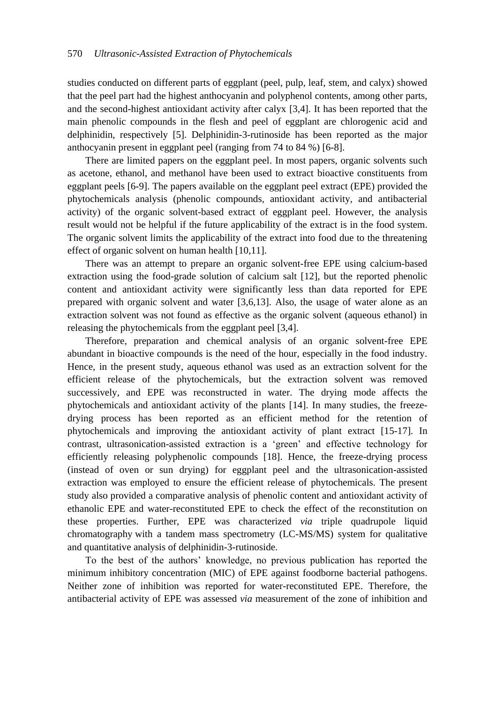studies conducted on different parts of eggplant (peel, pulp, leaf, stem, and calyx) showed that the peel part had the highest anthocyanin and polyphenol contents, among other parts, and the second-highest antioxidant activity after calyx [3,4]. It has been reported that the main phenolic compounds in the flesh and peel of eggplant are chlorogenic acid and delphinidin, respectively [5]. Delphinidin-3-rutinoside has been reported as the major anthocyanin present in eggplant peel (ranging from 74 to 84 %) [6-8].

There are limited papers on the eggplant peel. In most papers, organic solvents such as acetone, ethanol, and methanol have been used to extract bioactive constituents from eggplant peels [6-9]. The papers available on the eggplant peel extract (EPE) provided the phytochemicals analysis (phenolic compounds, antioxidant activity, and antibacterial activity) of the organic solvent-based extract of eggplant peel. However, the analysis result would not be helpful if the future applicability of the extract is in the food system. The organic solvent limits the applicability of the extract into food due to the threatening effect of organic solvent on human health [10,11].

There was an attempt to prepare an organic solvent-free EPE using calcium-based extraction using the food-grade solution of calcium salt [12], but the reported phenolic content and antioxidant activity were significantly less than data reported for EPE prepared with organic solvent and water [3,6,13]. Also, the usage of water alone as an extraction solvent was not found as effective as the organic solvent (aqueous ethanol) in releasing the phytochemicals from the eggplant peel [3,4].

Therefore, preparation and chemical analysis of an organic solvent-free EPE abundant in bioactive compounds is the need of the hour, especially in the food industry. Hence, in the present study, aqueous ethanol was used as an extraction solvent for the efficient release of the phytochemicals, but the extraction solvent was removed successively, and EPE was reconstructed in water. The drying mode affects the phytochemicals and antioxidant activity of the plants [14]. In many studies, the freezedrying process has been reported as an efficient method for the retention of phytochemicals and improving the antioxidant activity of plant extract [15-17]. In contrast, ultrasonication-assisted extraction is a 'green' and effective technology for efficiently releasing polyphenolic compounds [18]. Hence, the freeze-drying process (instead of oven or sun drying) for eggplant peel and the ultrasonication-assisted extraction was employed to ensure the efficient release of phytochemicals. The present study also provided a comparative analysis of phenolic content and antioxidant activity of ethanolic EPE and water-reconstituted EPE to check the effect of the reconstitution on these properties. Further, EPE was characterized *via* triple quadrupole liquid chromatography with a tandem mass spectrometry (LC-MS/MS) system for qualitative and quantitative analysis of delphinidin-3-rutinoside.

To the best of the authors' knowledge, no previous publication has reported the minimum inhibitory concentration (MIC) of EPE against foodborne bacterial pathogens. Neither zone of inhibition was reported for water-reconstituted EPE. Therefore, the antibacterial activity of EPE was assessed *via* measurement of the zone of inhibition and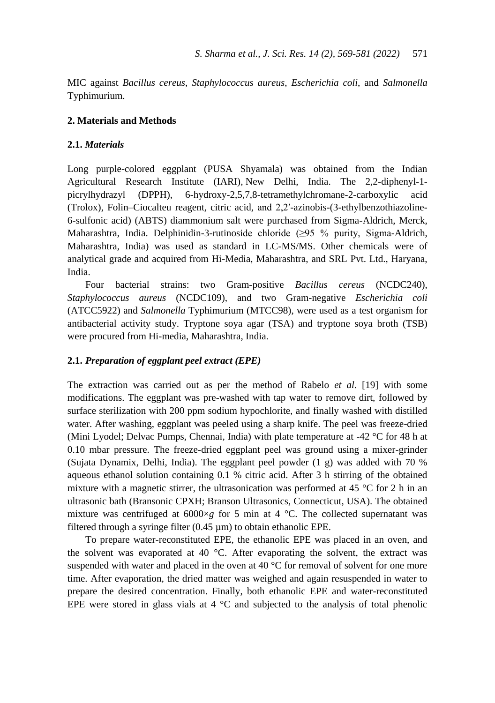MIC against *Bacillus cereus*, *Staphylococcus aureus*, *Escherichia coli*, and *Salmonella*  Typhimurium.

### **2. Materials and Methods**

#### **2.1.** *Materials*

Long purple-colored eggplant (PUSA Shyamala) was obtained from the Indian Agricultural Research Institute (IARI), New Delhi, India. The 2,2-diphenyl-1 picrylhydrazyl (DPPH), 6-hydroxy-2,5,7,8-tetramethylchromane-2-carboxylic acid (Trolox), Folin–Ciocalteu reagent, citric acid, and 2,2′-azinobis-(3-ethylbenzothiazoline-6-sulfonic acid) (ABTS) diammonium salt were purchased from Sigma-Aldrich, Merck, Maharashtra, India. Delphinidin-3-rutinoside chloride (≥95 % purity, Sigma-Aldrich, Maharashtra, India) was used as standard in LC-MS/MS. Other chemicals were of analytical grade and acquired from Hi-Media, Maharashtra, and SRL Pvt. Ltd., Haryana, India.

Four bacterial strains: two Gram-positive *Bacillus cereus* (NCDC240), *Staphylococcus aureus* (NCDC109), and two Gram-negative *Escherichia coli* (ATCC5922) and *Salmonella* Typhimurium (MTCC98), were used as a test organism for antibacterial activity study. Tryptone soya agar (TSA) and tryptone soya broth (TSB) were procured from Hi-media, Maharashtra, India.

#### **2.1.** *Preparation of eggplant peel extract (EPE)*

The extraction was carried out as per the method of Rabelo *et al*. [19] with some modifications. The eggplant was pre-washed with tap water to remove dirt, followed by surface sterilization with 200 ppm sodium hypochlorite, and finally washed with distilled water. After washing, eggplant was peeled using a sharp knife. The peel was freeze-dried (Mini Lyodel; Delvac Pumps, Chennai, India) with plate temperature at -42 °C for 48 h at 0.10 mbar pressure. The freeze-dried eggplant peel was ground using a mixer-grinder (Sujata Dynamix, Delhi, India). The eggplant peel powder (1 g) was added with 70 % aqueous ethanol solution containing 0.1 % citric acid. After 3 h stirring of the obtained mixture with a magnetic stirrer, the ultrasonication was performed at 45 °C for 2 h in an ultrasonic bath (Bransonic CPXH; Branson Ultrasonics, Connecticut, USA). The obtained mixture was centrifuged at  $6000 \times g$  for 5 min at 4 °C. The collected supernatant was filtered through a syringe filter  $(0.45 \mu m)$  to obtain ethanolic EPE.

To prepare water-reconstituted EPE, the ethanolic EPE was placed in an oven, and the solvent was evaporated at 40 °C. After evaporating the solvent, the extract was suspended with water and placed in the oven at 40 °C for removal of solvent for one more time. After evaporation, the dried matter was weighed and again resuspended in water to prepare the desired concentration. Finally, both ethanolic EPE and water-reconstituted EPE were stored in glass vials at  $4 \text{ }^{\circ}\text{C}$  and subjected to the analysis of total phenolic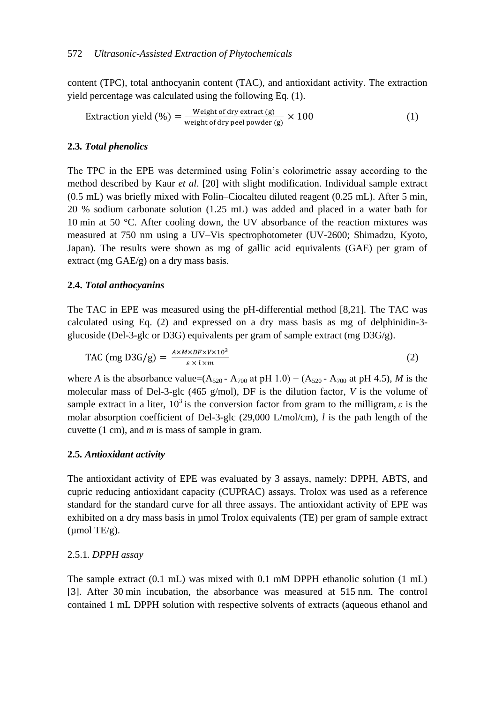content (TPC), total anthocyanin content (TAC), and antioxidant activity. The extraction yield percentage was calculated using the following Eq. (1).

$$
Extraction yield (\%) = \frac{Weight of dry extract (g)}{weight of dry peel powder (g)} \times 100
$$
 (1)

#### **2.3***. Total phenolics*

The TPC in the EPE was determined using Folin's colorimetric assay according to the method described by Kaur *et al*. [20] with slight modification. Individual sample extract (0.5 mL) was briefly mixed with Folin–Ciocalteu diluted reagent (0.25 mL). After 5 min, 20 % sodium carbonate solution (1.25 mL) was added and placed in a water bath for 10 min at 50 °C. After cooling down, the UV absorbance of the reaction mixtures was measured at 750 nm using a UV–Vis spectrophotometer (UV-2600; Shimadzu, Kyoto, Japan). The results were shown as mg of gallic acid equivalents (GAE) per gram of extract (mg  $GAE/g$ ) on a dry mass basis.

#### **2.4.** *Total anthocyanins*

The TAC in EPE was measured using the pH-differential method [8,21]. The TAC was calculated using Eq. (2) and expressed on a dry mass basis as mg of delphinidin-3 glucoside (Del-3-glc or D3G) equivalents per gram of sample extract (mg D3G/g).

$$
TAC (mg D3G/g) = \frac{A \times M \times DF \times V \times 10^3}{\varepsilon \times l \times m}
$$
 (2)

where *A* is the absorbance value=( $A_{520}$  -  $A_{700}$  at pH 1.0) – ( $A_{520}$  -  $A_{700}$  at pH 4.5), *M* is the molecular mass of Del-3-glc (465 g/mol), DF is the dilution factor, *V* is the volume of sample extract in a liter,  $10^3$  is the conversion factor from gram to the milligram,  $\varepsilon$  is the molar absorption coefficient of Del-3-glc (29,000 L/mol/cm), *l* is the path length of the cuvette (1 cm), and *m* is mass of sample in gram.

#### **2.5***. Antioxidant activity*

The antioxidant activity of EPE was evaluated by 3 assays, namely: DPPH, ABTS, and cupric reducing antioxidant capacity (CUPRAC) assays. Trolox was used as a reference standard for the standard curve for all three assays. The antioxidant activity of EPE was exhibited on a dry mass basis in µmol Trolox equivalents (TE) per gram of sample extract  $\mu$ mol TE/g).

#### 2.5.1*. DPPH assay*

The sample extract (0.1 mL) was mixed with 0.1 mM DPPH ethanolic solution (1 mL) [3]. After 30 min incubation, the absorbance was measured at 515 nm. The control contained 1 mL DPPH solution with respective solvents of extracts (aqueous ethanol and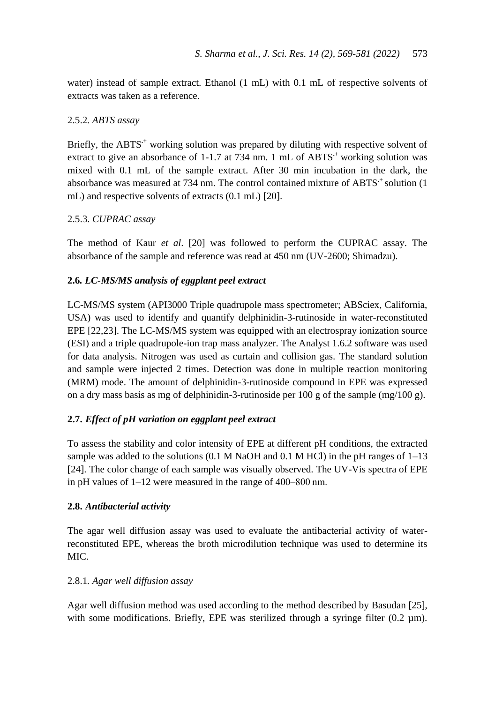water) instead of sample extract. Ethanol (1 mL) with 0.1 mL of respective solvents of extracts was taken as a reference.

# 2.5.2*. ABTS assay*

Briefly, the ABTS<sup>+</sup> working solution was prepared by diluting with respective solvent of extract to give an absorbance of 1-1.7 at 734 nm. 1 mL of ABTS<sup>+</sup> working solution was mixed with 0.1 mL of the sample extract. After 30 min incubation in the dark, the absorbance was measured at 734 nm. The control contained mixture of ABTS<sup>+</sup> solution (1) mL) and respective solvents of extracts (0.1 mL) [20].

# 2.5.3. *CUPRAC assay*

The method of Kaur *et al*. [20] was followed to perform the CUPRAC assay. The absorbance of the sample and reference was read at 450 nm (UV-2600; Shimadzu).

# **2.6***. LC-MS/MS analysis of eggplant peel extract*

LC-MS/MS system (API3000 Triple quadrupole mass spectrometer; ABSciex, California, USA) was used to identify and quantify delphinidin-3-rutinoside in water-reconstituted EPE [22,23]. The LC-MS/MS system was equipped with an electrospray ionization source (ESI) and a triple quadrupole-ion trap mass analyzer. The Analyst 1.6.2 software was used for data analysis. Nitrogen was used as curtain and collision gas. The standard solution and sample were injected 2 times. Detection was done in multiple reaction monitoring (MRM) mode. The amount of delphinidin-3-rutinoside compound in EPE was expressed on a dry mass basis as mg of delphinidin-3-rutinoside per 100 g of the sample  $(\text{mg}/100 \text{ g})$ .

# **2.7.** *Effect of pH variation on eggplant peel extract*

To assess the stability and color intensity of EPE at different pH conditions, the extracted sample was added to the solutions  $(0.1 \text{ M NaOH})$  and  $(0.1 \text{ M HCl})$  in the pH ranges of  $1-13$ [24]. The color change of each sample was visually observed. The UV-Vis spectra of EPE in pH values of 1–12 were measured in the range of 400–800 nm.

### **2.8.** *Antibacterial activity*

The agar well diffusion assay was used to evaluate the antibacterial activity of waterreconstituted EPE, whereas the broth microdilution technique was used to determine its MIC.

### 2.8.1*. Agar well diffusion assay*

Agar well diffusion method was used according to the method described by Basudan [25], with some modifications. Briefly, EPE was sterilized through a syringe filter  $(0.2 \mu m)$ .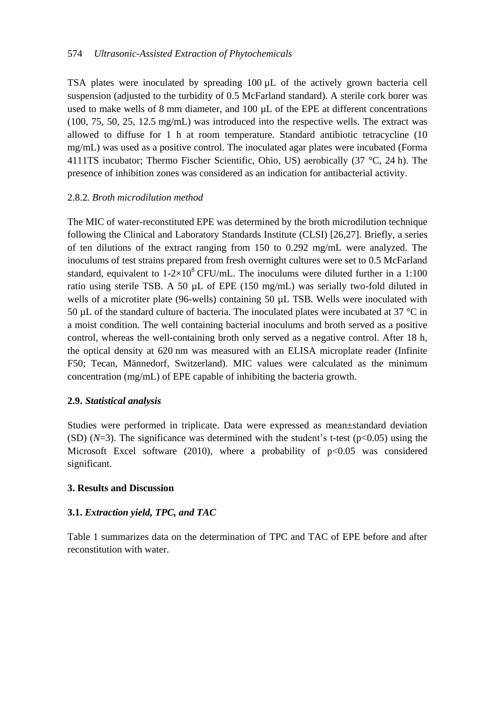### 574 *Ultrasonic-Assisted Extraction of Phytochemicals*

TSA plates were inoculated by spreading 100 µL of the actively grown bacteria cell suspension (adjusted to the turbidity of 0.5 McFarland standard). A sterile cork borer was used to make wells of 8 mm diameter, and  $100 \mu L$  of the EPE at different concentrations (100, 75, 50, 25, 12.5 mg/mL) was introduced into the respective wells. The extract was allowed to diffuse for 1 h at room temperature. Standard antibiotic tetracycline (10 mg/mL) was used as a positive control. The inoculated agar plates were incubated (Forma 4111TS incubator; Thermo Fischer Scientific, Ohio, US) aerobically (37 °C, 24 h). The presence of inhibition zones was considered as an indication for antibacterial activity.

#### 2.8.2*. Broth microdilution method*

The MIC of water-reconstituted EPE was determined by the broth microdilution technique following the Clinical and Laboratory Standards Institute (CLSI) [26,27]. Briefly, a series of ten dilutions of the extract ranging from 150 to 0.292 mg/mL were analyzed. The inoculums of test strains prepared from fresh overnight cultures were set to 0.5 McFarland standard, equivalent to  $1-2\times10^8$  CFU/mL. The inoculums were diluted further in a 1:100 ratio using sterile TSB. A 50 µL of EPE (150 mg/mL) was serially two-fold diluted in wells of a microtiter plate (96-wells) containing 50 µL TSB. Wells were inoculated with 50  $\mu$ L of the standard culture of bacteria. The inoculated plates were incubated at 37 °C in a moist condition. The well containing bacterial inoculums and broth served as a positive control, whereas the well-containing broth only served as a negative control. After 18 h, the optical density at 620 nm was measured with an ELISA microplate reader (Infinite F50; Tecan, Männedorf, Switzerland). MIC values were calculated as the minimum concentration (mg/mL) of EPE capable of inhibiting the bacteria growth.

#### **2.9.** *Statistical analysis*

Studies were performed in triplicate. Data were expressed as mean±standard deviation (SD)  $(N=3)$ . The significance was determined with the student's t-test ( $p<0.05$ ) using the Microsoft Excel software (2010), where a probability of  $p<0.05$  was considered significant.

#### **3. Results and Discussion**

### **3.1.** *Extraction yield, TPC, and TAC*

Table 1 summarizes data on the determination of TPC and TAC of EPE before and after reconstitution with water.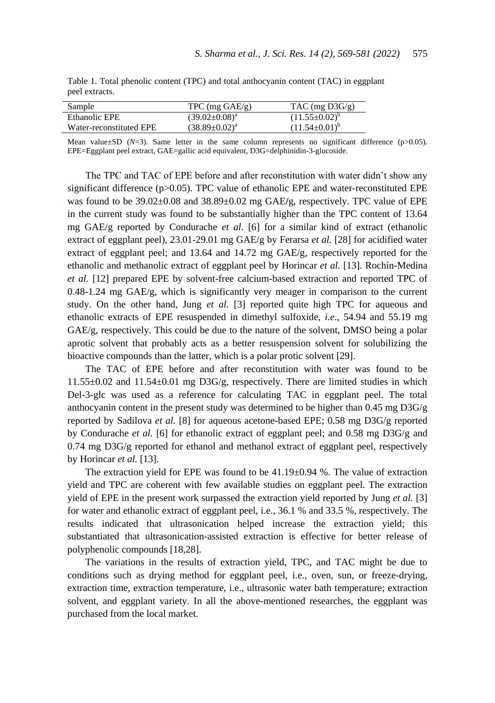|                | Table 1. Total phenolic content (TPC) and total anthocyanin content (TAC) in eggplant |  |  |  |
|----------------|---------------------------------------------------------------------------------------|--|--|--|
| peel extracts. |                                                                                       |  |  |  |

| Sample                  | $TPC$ (mg $GAE/g$ )    | $TAC$ (mg $D3G/g$ )        |
|-------------------------|------------------------|----------------------------|
| Ethanolic EPE           | $(39.02 \pm 0.08)^{a}$ | $(11.55 \pm 0.02)^{6}$     |
| Water-reconstituted EPE | $(38.89 \pm 0.02)^a$   | $(11.54 \pm 0.01)^{\circ}$ |
|                         |                        |                            |

Mean value $\pm$ SD ( $N=3$ ). Same letter in the same column represents no significant difference ( $p>0.05$ ). EPE=Eggplant peel extract, GAE=gallic acid equivalent, D3G=delphinidin-3-glucoside.

The TPC and TAC of EPE before and after reconstitution with water didn't show any significant difference (p>0.05). TPC value of ethanolic EPE and water-reconstituted EPE was found to be 39.02±0.08 and 38.89±0.02 mg GAE**/**g, respectively. TPC value of EPE in the current study was found to be substantially higher than the TPC content of 13.64 mg GAE/g reported by Condurache *et al*. [6] for a similar kind of extract (ethanolic extract of eggplant peel), 23.01-29.01 mg GAE/g by Ferarsa *et al.* [28] for acidified water extract of eggplant peel; and 13.64 and 14.72 mg GAE/g, respectively reported for the ethanolic and methanolic extract of eggplant peel by Horincar *et al.* [13]. Rochín-Medina *et al.* [12] prepared EPE by solvent-free calcium-based extraction and reported TPC of  $0.48-1.24$  mg  $GAE/g$ , which is significantly very meager in comparison to the current study. On the other hand, Jung *et al.* [3] reported quite high TPC for aqueous and ethanolic extracts of EPE resuspended in dimethyl sulfoxide, *i.e*., 54.94 and 55.19 mg GAE/g, respectively. This could be due to the nature of the solvent, DMSO being a polar aprotic solvent that probably acts as a better resuspension solvent for solubilizing the bioactive compounds than the latter, which is a polar protic solvent [29].

The TAC of EPE before and after reconstitution with water was found to be 11.55±0.02 and 11.54±0.01 mg D3G/g, respectively. There are limited studies in which Del-3-glc was used as a reference for calculating TAC in eggplant peel. The total anthocyanin content in the present study was determined to be higher than  $0.45 \text{ mg } D3G/g$ reported by Sadilova *et al.* [8] for aqueous acetone-based EPE; 0.58 mg D3G/g reported by Condurache *et al.* [6] for ethanolic extract of eggplant peel; and 0.58 mg D3G/g and 0.74 mg D3G/g reported for ethanol and methanol extract of eggplant peel, respectively by Horincar *et al.* [13].

The extraction yield for EPE was found to be 41.19±0.94 %. The value of extraction yield and TPC are coherent with few available studies on eggplant peel. The extraction yield of EPE in the present work surpassed the extraction yield reported by Jung *et al.* [3] for water and ethanolic extract of eggplant peel, i.e., 36.1 % and 33.5 %, respectively. The results indicated that ultrasonication helped increase the extraction yield; this substantiated that ultrasonication-assisted extraction is effective for better release of polyphenolic compounds [18,28].

 The variations in the results of extraction yield, TPC, and TAC might be due to conditions such as drying method for eggplant peel, i.e., oven, sun, or freeze-drying, extraction time, extraction temperature, i.e., ultrasonic water bath temperature; extraction solvent, and eggplant variety. In all the above-mentioned researches, the eggplant was purchased from the local market.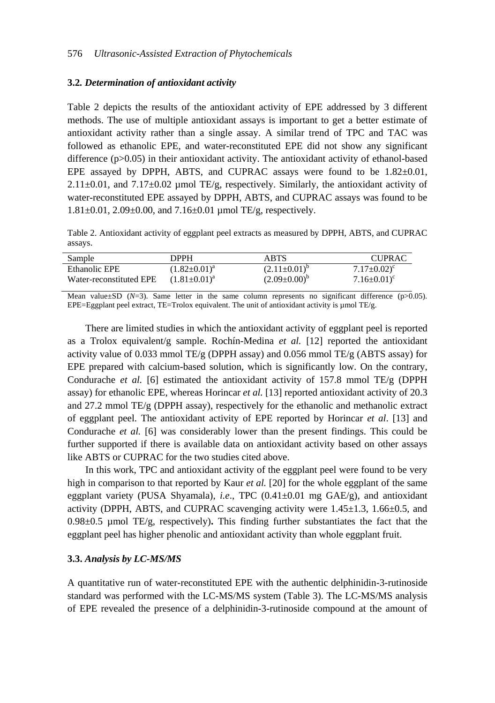#### **3.2***. Determination of antioxidant activity*

Table 2 depicts the results of the antioxidant activity of EPE addressed by 3 different methods. The use of multiple antioxidant assays is important to get a better estimate of antioxidant activity rather than a single assay. A similar trend of TPC and TAC was followed as ethanolic EPE, and water-reconstituted EPE did not show any significant difference (p>0.05) in their antioxidant activity. The antioxidant activity of ethanol-based EPE assayed by DPPH, ABTS, and CUPRAC assays were found to be  $1.82\pm0.01$ ,  $2.11\pm0.01$ , and  $7.17\pm0.02$  µmol TE/g, respectively. Similarly, the antioxidant activity of water-reconstituted EPE assayed by DPPH, ABTS, and CUPRAC assays was found to be 1.81±0.01, 2.09±0.00, and 7.16±0.01 µmol TE/g, respectively.

Table 2. Antioxidant activity of eggplant peel extracts as measured by DPPH, ABTS, and CUPRAC assays.

| Sample                  | DPPH                | ABTS                      | <b>CUPRAC</b>                |
|-------------------------|---------------------|---------------------------|------------------------------|
| Ethanolic EPE           | $(1.82 \pm 0.01)^a$ | $(2.11 \pm 0.01)^{\circ}$ | $7.17 \pm 0.02$ <sup>c</sup> |
| Water-reconstituted EPE | $(1.81 \pm 0.01)^a$ | $(2.09 \pm 0.00)^{\circ}$ | $7.16 \pm 0.01$ <sup>c</sup> |

Mean value $\pm$ SD (*N*=3). Same letter in the same column represents no significant difference ( $p$ >0.05). EPE=Eggplant peel extract, TE=Trolox equivalent. The unit of antioxidant activity is µmol TE/g.

There are limited studies in which the antioxidant activity of eggplant peel is reported as a Trolox equivalent/g sample. Rochín-Medina *et al.* [12] reported the antioxidant activity value of 0.033 mmol TE/g (DPPH assay) and 0.056 mmol TE/g (ABTS assay) for EPE prepared with calcium-based solution, which is significantly low. On the contrary, Condurache *et al.* [6] estimated the antioxidant activity of 157.8 mmol TE/g (DPPH assay) for ethanolic EPE, whereas Horincar *et al.* [13] reported antioxidant activity of 20.3 and 27.2 mmol TE/g (DPPH assay), respectively for the ethanolic and methanolic extract of eggplant peel. The antioxidant activity of EPE reported by Horincar *et al*. [13] and Condurache *et al.* [6] was considerably lower than the present findings. This could be further supported if there is available data on antioxidant activity based on other assays like ABTS or CUPRAC for the two studies cited above.

 In this work, TPC and antioxidant activity of the eggplant peel were found to be very high in comparison to that reported by Kaur *et al.* [20] for the whole eggplant of the same eggplant variety (PUSA Shyamala), *i.e*., TPC (0.41±0.01 mg GAE/g), and antioxidant activity (DPPH, ABTS, and CUPRAC scavenging activity were  $1.45\pm1.3$ ,  $1.66\pm0.5$ , and 0.98±0.5 µmol TE/g, respectively)**.** This finding further substantiates the fact that the eggplant peel has higher phenolic and antioxidant activity than whole eggplant fruit.

#### **3.3.** *Analysis by LC-MS/MS*

A quantitative run of water-reconstituted EPE with the authentic delphinidin-3-rutinoside standard was performed with the LC-MS/MS system (Table 3). The LC-MS/MS analysis of EPE revealed the presence of a delphinidin-3-rutinoside compound at the amount of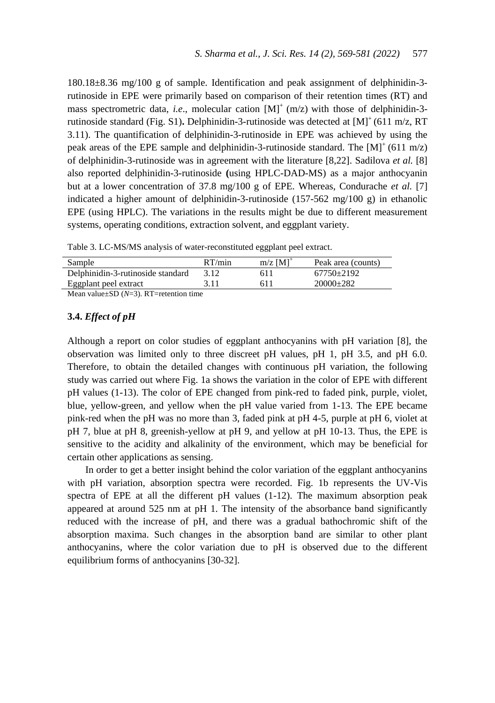180.18±8.36 mg/100 g of sample. Identification and peak assignment of delphinidin-3 rutinoside in EPE were primarily based on comparison of their retention times (RT) and mass spectrometric data, *i.e.*, molecular cation  $[M]^{+}(m/z)$  with those of delphinidin-3rutinoside standard (Fig. S1). Delphinidin-3-rutinoside was detected at [M]<sup>+</sup> (611 m/z, RT 3.11). The quantification of delphinidin-3-rutinoside in EPE was achieved by using the peak areas of the EPE sample and delphinidin-3-rutinoside standard. The  $[M]^{+}(611 \text{ m/z})$ of delphinidin-3-rutinoside was in agreement with the literature [8,22]. Sadilova *et al.* [8] also reported delphinidin-3-rutinoside **(**using HPLC-DAD-MS) as a major anthocyanin but at a lower concentration of 37.8 mg/100 g of EPE. Whereas, Condurache *et al.* [7] indicated a higher amount of delphinidin-3-rutinoside (157-562 mg/100 g) in ethanolic EPE (using HPLC). The variations in the results might be due to different measurement systems, operating conditions, extraction solvent, and eggplant variety.

Table 3. LC-MS/MS analysis of water-reconstituted eggplant peel extract.

| Sample                                                                 | RT/min | $m/z$ $[M]$ <sup>+</sup> | Peak area (counts) |
|------------------------------------------------------------------------|--------|--------------------------|--------------------|
| Delphinidin-3-rutinoside standard                                      | 3.12   | 611                      | 67750+2192         |
| Eggplant peel extract                                                  | 3.11   | 611                      | $20000+282$        |
| $M_{\text{com}}$ value $\text{CD}$ $(M-2)$ $\text{DT}-$ potentian time |        |                          |                    |

Mean value±SD (*N*=3). RT=retention time

#### **3.4.** *Effect of pH*

Although a report on color studies of eggplant anthocyanins with pH variation [8], the observation was limited only to three discreet pH values, pH 1, pH 3.5, and pH 6.0. Therefore, to obtain the detailed changes with continuous pH variation, the following study was carried out where Fig. 1a shows the variation in the color of EPE with different pH values (1-13). The color of EPE changed from pink-red to faded pink, purple, violet, blue, yellow-green, and yellow when the pH value varied from 1-13. The EPE became pink-red when the pH was no more than 3, faded pink at pH 4-5, purple at pH 6, violet at pH 7, blue at pH 8, greenish-yellow at pH 9, and yellow at pH 10-13. Thus, the EPE is sensitive to the acidity and alkalinity of the environment, which may be beneficial for certain other applications as sensing.

In order to get a better insight behind the color variation of the eggplant anthocyanins with pH variation, absorption spectra were recorded. Fig. 1b represents the UV-Vis spectra of EPE at all the different pH values (1-12). The maximum absorption peak appeared at around 525 nm at pH 1. The intensity of the absorbance band significantly reduced with the increase of pH, and there was a gradual bathochromic shift of the absorption maxima. Such changes in the absorption band are similar to other plant anthocyanins, where the color variation due to pH is observed due to the different equilibrium forms of anthocyanins [30-32].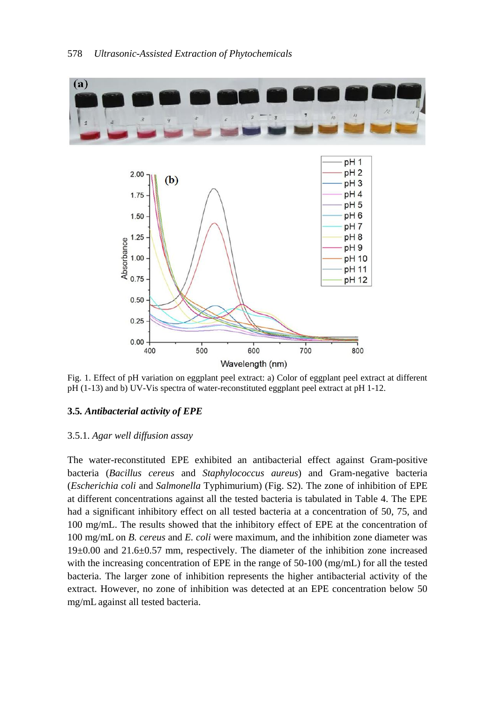

Fig. 1. Effect of pH variation on eggplant peel extract: a) Color of eggplant peel extract at different pH (1-13) and b) UV-Vis spectra of water-reconstituted eggplant peel extract at pH 1-12.

# **3.5***. Antibacterial activity of EPE*

### 3.5.1. *Agar well diffusion assay*

The water-reconstituted EPE exhibited an antibacterial effect against Gram-positive bacteria (*Bacillus cereus* and *Staphylococcus aureus*) and Gram-negative bacteria (*Escherichia coli* and *Salmonella* Typhimurium) (Fig. S2). The zone of inhibition of EPE at different concentrations against all the tested bacteria is tabulated in Table 4. The EPE had a significant inhibitory effect on all tested bacteria at a concentration of 50, 75, and 100 mg/mL. The results showed that the inhibitory effect of EPE at the concentration of 100 mg/mL on *B. cereus* and *E. coli* were maximum, and the inhibition zone diameter was 19±0.00 and 21.6±0.57 mm, respectively. The diameter of the inhibition zone increased with the increasing concentration of EPE in the range of 50-100 (mg/mL) for all the tested bacteria. The larger zone of inhibition represents the higher antibacterial activity of the extract. However, no zone of inhibition was detected at an EPE concentration below 50 mg/mL against all tested bacteria.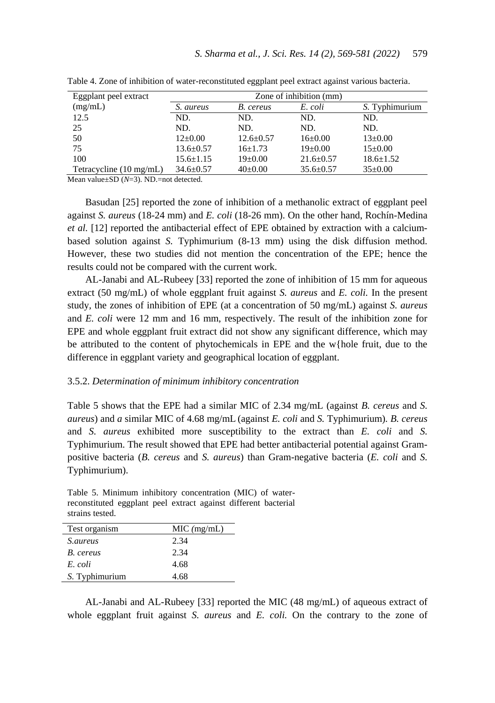| Eggplant peel extract             | Zone of inhibition (mm) |                 |                 |                 |
|-----------------------------------|-------------------------|-----------------|-----------------|-----------------|
| (mg/mL)                           | S. aureus               | B. cereus       | E. coli         | S. Typhimurium  |
| 12.5                              | ND.                     | ND.             | ND.             | ND.             |
| 25                                | ND.                     | ND.             | ND.             | ND.             |
| 50                                | $12{\pm}0.00$           | $12.6 \pm 0.57$ | $16 \pm 0.00$   | $13 \pm 0.00$   |
| 75                                | $13.6 \pm 0.57$         | $16+1.73$       | $19 \pm 0.00$   | $15 \pm 0.00$   |
| 100                               | $15.6 \pm 1.15$         | $19 \pm 0.00$   | $21.6 \pm 0.57$ | $18.6 \pm 1.52$ |
| Tetracycline $(10 \text{ mg/mL})$ | $34.6 \pm 0.57$         | $40\pm0.00$     | $35.6 \pm 0.57$ | $35 \pm 0.00$   |

Table 4. Zone of inhibition of water-reconstituted eggplant peel extract against various bacteria.

Mean value±SD (*N*=3). ND.=not detected.

Basudan [25] reported the zone of inhibition of a methanolic extract of eggplant peel against *S. aureus* (18-24 mm) and *E. coli* (18-26 mm). On the other hand, Rochín-Medina *et al.* [12] reported the antibacterial effect of EPE obtained by extraction with a calciumbased solution against *S.* Typhimurium (8-13 mm) using the disk diffusion method. However, these two studies did not mention the concentration of the EPE; hence the results could not be compared with the current work.

 AL-Janabi and AL-Rubeey [33] reported the zone of inhibition of 15 mm for aqueous extract (50 mg/mL) of whole eggplant fruit against *S. aureus* and *E. coli.* In the present study*,* the zones of inhibition of EPE (at a concentration of 50 mg/mL) against *S. aureus*  and *E. coli* were 12 mm and 16 mm, respectively. The result of the inhibition zone for EPE and whole eggplant fruit extract did not show any significant difference, which may be attributed to the content of phytochemicals in EPE and the w{hole fruit, due to the difference in eggplant variety and geographical location of eggplant.

#### 3.5.2. *Determination of minimum inhibitory concentration*

Table 5 shows that the EPE had a similar MIC of 2.34 mg/mL (against *B. cereus* and *S. aureus*) and *a* similar MIC of 4.68 mg/mL (against *E. coli* and *S.* Typhimurium)*. B. cereus*  and *S. aureus* exhibited more susceptibility to the extract than *E. coli* and *S.*  Typhimurium. The result showed that EPE had better antibacterial potential against Grampositive bacteria (*B. cereus* and *S. aureus*) than Gram-negative bacteria (*E. coli* and *S.*  Typhimurium).

Table 5. Minimum inhibitory concentration (MIC) of waterreconstituted eggplant peel extract against different bacterial strains tested.

| Test organism   | $MIC$ (mg/mL) |
|-----------------|---------------|
| <i>S.aureus</i> | 2.34          |
| B. cereus       | 2.34          |
| E. coli         | 4.68          |
| S. Typhimurium  | 4.68          |

AL-Janabi and AL-Rubeey [33] reported the MIC (48 mg/mL) of aqueous extract of whole eggplant fruit against *S. aureus* and *E. coli.* On the contrary to the zone of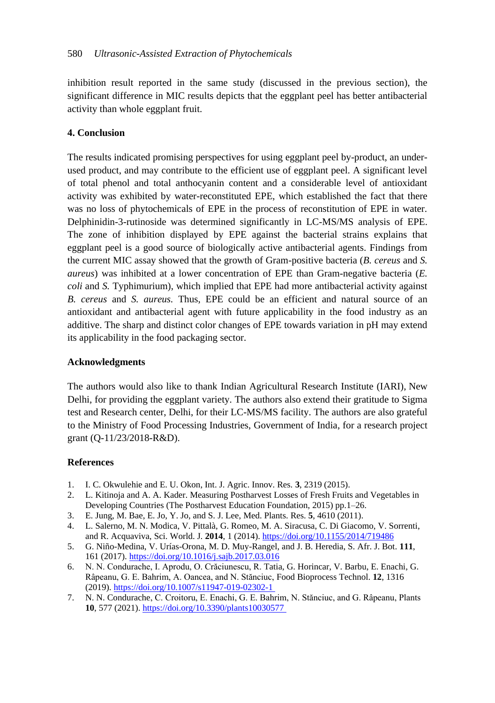inhibition result reported in the same study (discussed in the previous section), the significant difference in MIC results depicts that the eggplant peel has better antibacterial activity than whole eggplant fruit.

# **4. Conclusion**

The results indicated promising perspectives for using eggplant peel by-product, an underused product, and may contribute to the efficient use of eggplant peel. A significant level of total phenol and total anthocyanin content and a considerable level of antioxidant activity was exhibited by water-reconstituted EPE, which established the fact that there was no loss of phytochemicals of EPE in the process of reconstitution of EPE in water. Delphinidin-3-rutinoside was determined significantly in LC-MS/MS analysis of EPE. The zone of inhibition displayed by EPE against the bacterial strains explains that eggplant peel is a good source of biologically active antibacterial agents. Findings from the current MIC assay showed that the growth of Gram-positive bacteria (*B. cereus* and *S. aureus*) was inhibited at a lower concentration of EPE than Gram-negative bacteria (*E. coli* and *S.* Typhimurium), which implied that EPE had more antibacterial activity against *B. cereus* and *S. aureus.* Thus, EPE could be an efficient and natural source of an antioxidant and antibacterial agent with future applicability in the food industry as an additive. The sharp and distinct color changes of EPE towards variation in pH may extend its applicability in the food packaging sector.

# **Acknowledgments**

The authors would also like to thank Indian Agricultural Research Institute (IARI), New Delhi, for providing the eggplant variety. The authors also extend their gratitude to Sigma test and Research center, Delhi, for their LC-MS/MS facility. The authors are also grateful to the Ministry of Food Processing Industries, Government of India, for a research project grant (Q-11/23/2018-R&D).

# **References**

- 1. I. C. Okwulehie and E. U. Okon, Int. J. Agric. Innov. Res. **3**, 2319 (2015).
- 2. L. Kitinoja and A. A. Kader. Measuring Postharvest Losses of Fresh Fruits and Vegetables in Developing Countries (The Postharvest Education Foundation, 2015) pp.1–26.
- 3. E. Jung, M. Bae, E. Jo, Y. Jo, and S. J. Lee, Med. Plants. Res. **5**, 4610 (2011).
- 4. L. Salerno, M. N. Modica, V. Pittalà, G. Romeo, M. A. Siracusa, C. Di Giacomo, V. Sorrenti, and R. Acquaviva, Sci. World. J*.* **2014**, 1 (2014)[. https://doi.org/10.1155/2014/719486](https://doi.org/10.1155/2014/719486)
- 5. G. Niño-Medina, V. Urías-Orona, M. D. Muy-Rangel, and J. B. Heredia, S. Afr. J. Bot. **111**, 161 (2017)[. https://doi.org/10.1016/j.sajb.2017.03.016](https://doi.org/10.1016/j.sajb.2017.03.016)
- 6. N. N. Condurache, I. Aprodu, O. Crăciunescu, R. Tatia, G. Horincar, V. Barbu, E. Enachi, G. Râpeanu, G. E. Bahrim, A. Oancea, and N. Stănciuc, Food Bioprocess Technol. **12**, 1316 (2019)[. https://doi.org/10.1007/s11947-019-02302-1](https://doi.org/10.1007/s11947-019-02302-1)
- 7. N. N. Condurache, C. Croitoru, E. Enachi, G. E. Bahrim, N. Stănciuc, and G. Râpeanu, Plants **10**, 577 (2021). [https://doi.org/10.3390/plants10030577](https://doi.org/10.3390/plants10030577 )